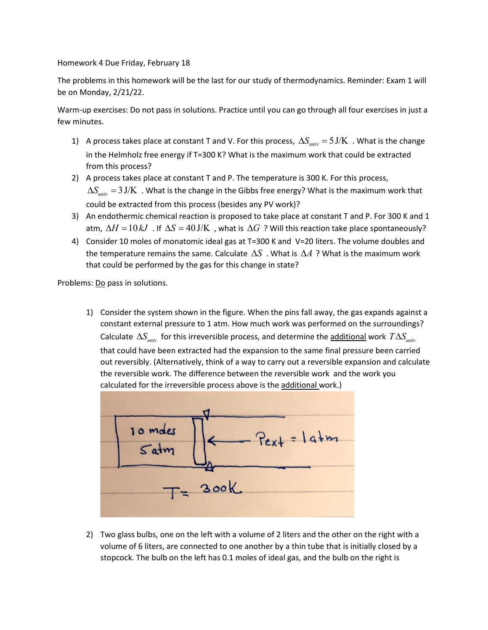Homework 4 Due Friday, February 18

The problems in this homework will be the last for our study of thermodynamics. Reminder: Exam 1 will be on Monday, 2/21/22.

Warm-up exercises: Do not pass in solutions. Practice until you can go through all four exercises in just a few minutes.

- 1) A process takes place at constant T and V. For this process,  $\Delta S_{univ} = 5 \text{ J/K}$ . What is the change in the Helmholz free energy if T=300 K? What is the maximum work that could be extracted from this process?
- 2) A process takes place at constant T and P. The temperature is 300 K. For this process,  $\Delta S_{univ} = 3 \text{ J/K}$  . What is the change in the Gibbs free energy? What is the maximum work that could be extracted from this process (besides any PV work)?
- 3) An endothermic chemical reaction is proposed to take place at constant T and P. For 300 K and 1 atm,  $\Delta H = 10 kJ$  . If  $\Delta S = 40 \text{ J/K}$  , what is  $\Delta G$  ? Will this reaction take place spontaneously?
- 4) Consider 10 moles of monatomic ideal gas at T=300 K and V=20 liters. The volume doubles and the temperature remains the same. Calculate  $\Delta S$  . What is  $\Delta A$  ? What is the maximum work that could be performed by the gas for this change in state?

Problems: Do pass in solutions.

1) Consider the system shown in the figure. When the pins fall away, the gas expands against a constant external pressure to 1 atm. How much work was performed on the surroundings? Calculate  $\Delta S_{univ}$  for this irreversible process, and determine the additional work  $T \Delta S_{univ}$ that could have been extracted had the expansion to the same final pressure been carried out reversibly. (Alternatively, think of a way to carry out a reversible expansion and calculate the reversible work. The difference between the reversible work and the work you calculated for the irreversible process above is the additional work.)



2) Two glass bulbs, one on the left with a volume of 2 liters and the other on the right with a volume of 6 liters, are connected to one another by a thin tube that is initially closed by a stopcock. The bulb on the left has 0.1 moles of ideal gas, and the bulb on the right is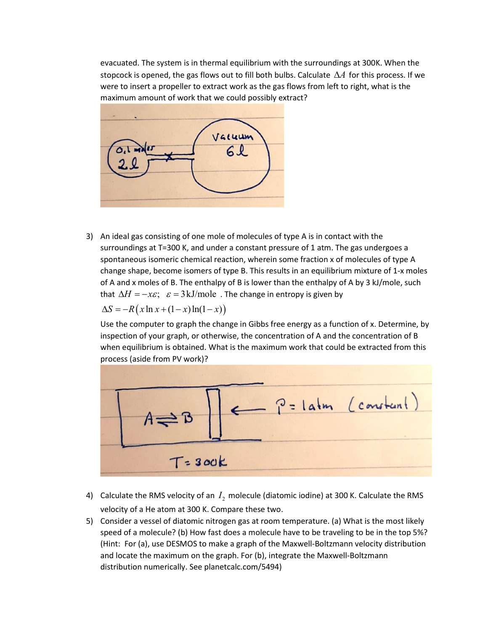evacuated. The system is in thermal equilibrium with the surroundings at 300K. When the stopcock is opened, the gas flows out to fill both bulbs. Calculate  $\Delta A$  for this process. If we were to insert a propeller to extract work as the gas flows from left to right, what is the maximum amount of work that we could possibly extract?



3) An ideal gas consisting of one mole of molecules of type A is in contact with the surroundings at T=300 K, and under a constant pressure of 1 atm. The gas undergoes a spontaneous isomeric chemical reaction, wherein some fraction x of molecules of type A change shape, become isomers of type B. This results in an equilibrium mixture of 1-x moles of A and x moles of B. The enthalpy of B is lower than the enthalpy of A by 3 kJ/mole, such that  $\Delta H = -x\varepsilon$ ;  $\varepsilon = 3 \text{ kJ/mole}$ . The change in entropy is given by S R x x x x ln (1 )ln(1 )

Use the computer to graph the change in Gibbs free energy as a function of x. Determine, by inspection of your graph, or otherwise, the concentration of A and the concentration of B when equilibrium is obtained. What is the maximum work that could be extracted from this process (aside from PV work)?



- 4) Calculate the RMS velocity of an  $I_{2}$  molecule (diatomic iodine) at 300 K. Calculate the RMS velocity of a He atom at 300 K. Compare these two.
- 5) Consider a vessel of diatomic nitrogen gas at room temperature. (a) What is the most likely speed of a molecule? (b) How fast does a molecule have to be traveling to be in the top 5%? (Hint: For (a), use DESMOS to make a graph of the Maxwell-Boltzmann velocity distribution and locate the maximum on the graph. For (b), integrate the Maxwell-Boltzmann distribution numerically. See planetcalc.com/5494)